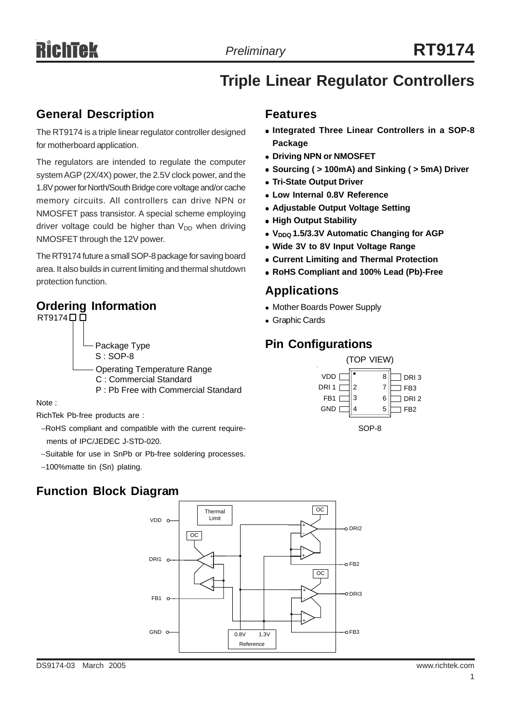# **Triple Linear Regulator Controllers**

### **General Description**

The RT9174 is a triple linear regulator controller designed for motherboard application.

The regulators are intended to regulate the computer system AGP (2X/4X) power, the 2.5V clock power, and the 1.8V power for North/South Bridge core voltage and/or cache memory circuits. All controllers can drive NPN or NMOSFET pass transistor. A special scheme employing driver voltage could be higher than  $V_{DD}$  when driving NMOSFET through the 12V power.

The RT9174 future a small SOP-8 package for saving board area. It also builds in current limiting and thermal shutdown protection function.

# **Ordering Information**

 $RT9174$  $\Box$  $\Box$ Package Type S : SOP-8 Operating Temperature Range C : Commercial Standard P : Pb Free with Commercial Standard

Note :

RichTek Pb-free products are :

−RoHS compliant and compatible with the current require ments of IPC/JEDEC J-STD-020.

- −Suitable for use in SnPb or Pb-free soldering processes.
- −100%matte tin (Sn) plating.

# **Features**

- **Integrated Three Linear Controllers in a SOP-8 Package**
- **Driving NPN or NMOSFET**
- Sourcing ( > 100mA) and Sinking ( > 5mA) Driver
- **Tri-State Output Driver**
- <sup>z</sup> **Low Internal 0.8V Reference**
- **Adjustable Output Voltage Setting**
- **High Output Stability**
- V<sub>DDQ</sub> 1.5/3.3V Automatic Changing for AGP
- **Wide 3V to 8V Input Voltage Range**
- **Current Limiting and Thermal Protection**
- <sup>z</sup> **RoHS Compliant and 100% Lead (Pb)-Free**

### **Applications**

- Mother Boards Power Supply
- Graphic Cards

# **Pin Configurations**



**Function Block Diagram**

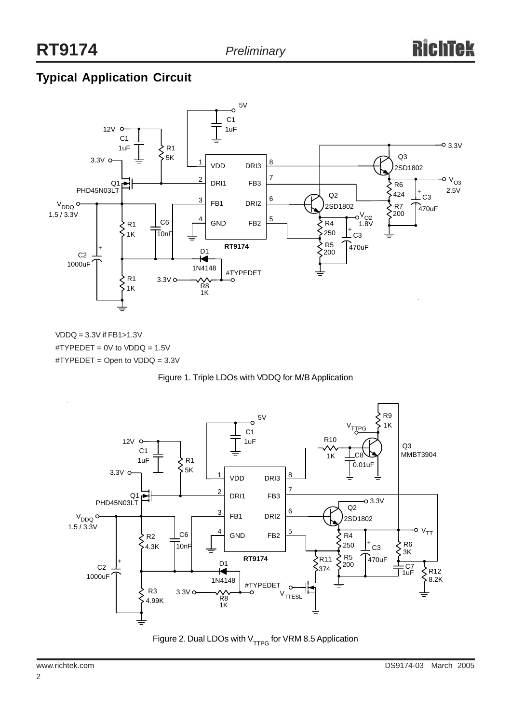# **Typical Application Circuit**



VDDQ = 3.3V if FB1>1.3V  $\text{^{\#}TYPEDET} = 0 \text{V}$  to  $\text{VDDQ} = 1.5 \text{V}$ #TYPEDET = Open to VDDQ = 3.3V





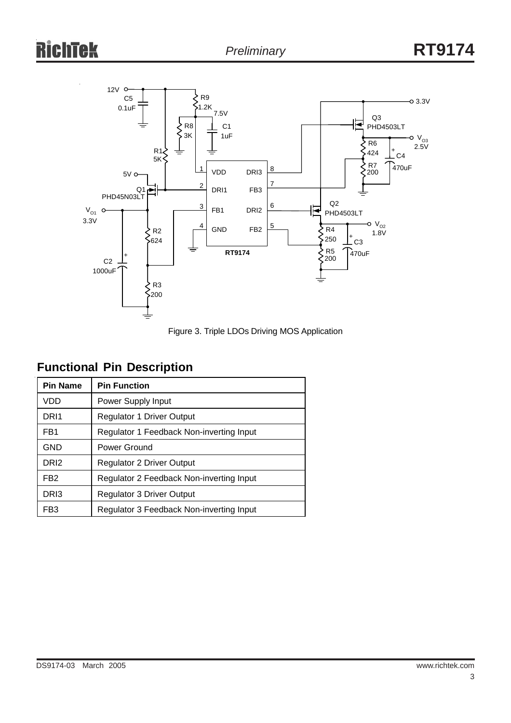# ek



Figure 3. Triple LDOs Driving MOS Application

# **Functional Pin Description**

| <b>Pin Name</b>  | <b>Pin Function</b>                      |  |  |
|------------------|------------------------------------------|--|--|
| VDD              | Power Supply Input                       |  |  |
| DR <sub>11</sub> | <b>Regulator 1 Driver Output</b>         |  |  |
| FB <sub>1</sub>  | Regulator 1 Feedback Non-inverting Input |  |  |
| GND              | Power Ground                             |  |  |
| DR <sub>12</sub> | <b>Regulator 2 Driver Output</b>         |  |  |
| FB <sub>2</sub>  | Regulator 2 Feedback Non-inverting Input |  |  |
| DRI3             | <b>Regulator 3 Driver Output</b>         |  |  |
| FB3              | Regulator 3 Feedback Non-inverting Input |  |  |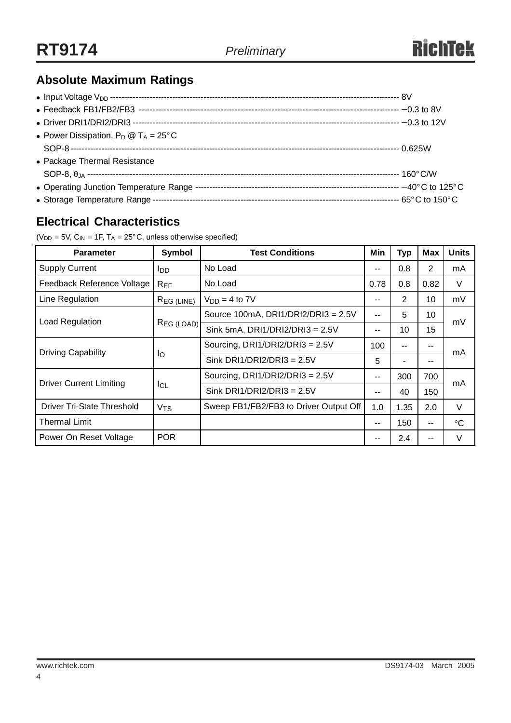# **Absolute Maximum Ratings**

| • Power Dissipation, $P_D @ T_A = 25^{\circ}C$ |  |
|------------------------------------------------|--|
|                                                |  |
| • Package Thermal Resistance                   |  |
|                                                |  |
|                                                |  |
|                                                |  |

# **Electrical Characteristics**

( $V_{DD}$  = 5V,  $C_{IN}$  = 1F,  $T_A$  = 25°C, unless otherwise specified)

| <b>Parameter</b>                                  | Symbol          | <b>Test Conditions</b>                 |       | Typ  | Max   | <b>Units</b> |  |
|---------------------------------------------------|-----------------|----------------------------------------|-------|------|-------|--------------|--|
| <b>Supply Current</b>                             | <b>I</b> DD     | No Load                                |       | 0.8  | 2     | mA           |  |
| Feedback Reference Voltage<br>No Load<br>$R_{EF}$ |                 | 0.78                                   | 0.8   | 0.82 | V     |              |  |
| Line Regulation                                   | $R_{EG (LINE)}$ | $VDD = 4$ to $7V$                      | --    | 2    | 10    | mV           |  |
| Load Regulation                                   | REG (LOAD)      | Source 100mA, DRI1/DRI2/DRI3 = 2.5V    | --    | 5    | 10    | mV           |  |
|                                                   |                 | Sink 5mA, DRI1/DRI2/DRI3 = $2.5V$      | --    | 10   | 15    |              |  |
|                                                   | Ιo              | Sourcing, DRI1/DRI2/DRI3 = $2.5V$      | 100   | --   | $- -$ | mA           |  |
| <b>Driving Capability</b>                         |                 | Sink DRI1/DRI2/DRI3 = $2.5V$           | 5     |      |       |              |  |
|                                                   | ICL             | Sourcing, DRI1/DRI2/DRI3 = $2.5V$      | --    | 300  | 700   | mA           |  |
| <b>Driver Current Limiting</b>                    |                 | Sink DRI1/DRI2/DRI3 = $2.5V$           | --    | 40   | 150   |              |  |
| Driver Tri-State Threshold                        | V <sub>TS</sub> | Sweep FB1/FB2/FB3 to Driver Output Off | 1.0   | 1.35 | 2.0   | V            |  |
| Thermal Limit                                     |                 |                                        | $- -$ | 150  | $- -$ | $\circ$ C    |  |
| Power On Reset Voltage                            | <b>POR</b>      |                                        | --    | 2.4  |       | $\vee$       |  |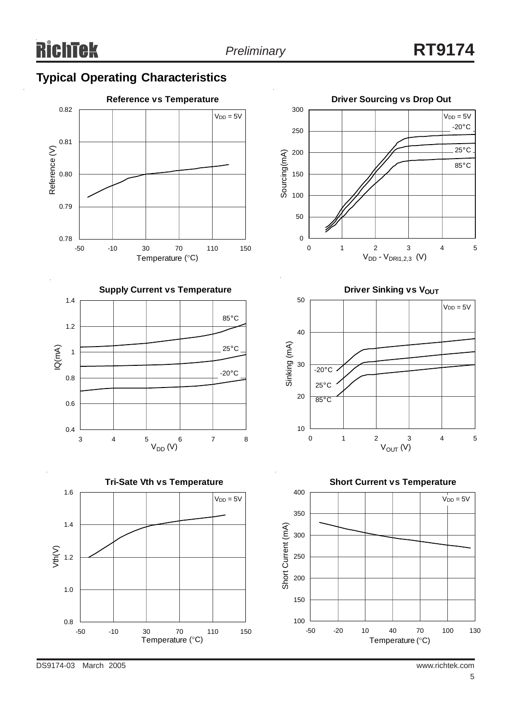# **Typical Operating Characteristics**













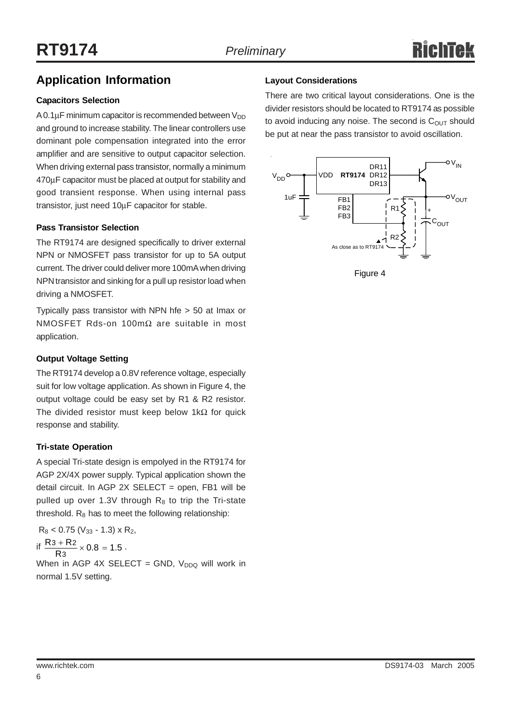### **Application Information**

### **Capacitors Selection**

A 0.1 $\mu$ F minimum capacitor is recommended between  $V_{DD}$ and ground to increase stability. The linear controllers use dominant pole compensation integrated into the error amplifier and are sensitive to output capacitor selection. When driving external pass transistor, normally a minimum 470µF capacitor must be placed at output for stability and good transient response. When using internal pass transistor, just need 10µF capacitor for stable.

### **Pass Transistor Selection**

The RT9174 are designed specifically to driver external NPN or NMOSFET pass transistor for up to 5A output current. The driver could deliver more 100mA when driving NPN transistor and sinking for a pull up resistor load when driving a NMOSFET.

Typically pass transistor with NPN hfe > 50 at Imax or NMOSFET Rds-on 100mΩ are suitable in most application.

### **Output Voltage Setting**

The RT9174 develop a 0.8V reference voltage, especially suit for low voltage application. As shown in Figure 4, the output voltage could be easy set by R1 & R2 resistor. The divided resistor must keep below 1kΩ for quick response and stability.

### **Tri-state Operation**

A special Tri-state design is empolyed in the RT9174 for AGP 2X/4X power supply. Typical application shown the detail circuit. In AGP 2X SELECT = open, FB1 will be pulled up over 1.3V through  $R_8$  to trip the Tri-state threshold.  $R_8$  has to meet the following relationship:

 $R_8$  < 0.75 ( $V_{33}$  - 1.3) x  $R_2$ , if  $\frac{R_3 + R_2}{R_3} \times 0.8 = 1.5$ 3  $\frac{3 + R2}{R} \times 0.8 = 1.5$ . When in AGP 4X SELECT = GND,  $V_{DDQ}$  will work in

normal 1.5V setting.

### **Layout Considerations**

There are two critical layout considerations. One is the divider resistors should be located to RT9174 as possible to avoid inducing any noise. The second is  $C<sub>OUT</sub>$  should be put at near the pass transistor to avoid oscillation.



Figure 4